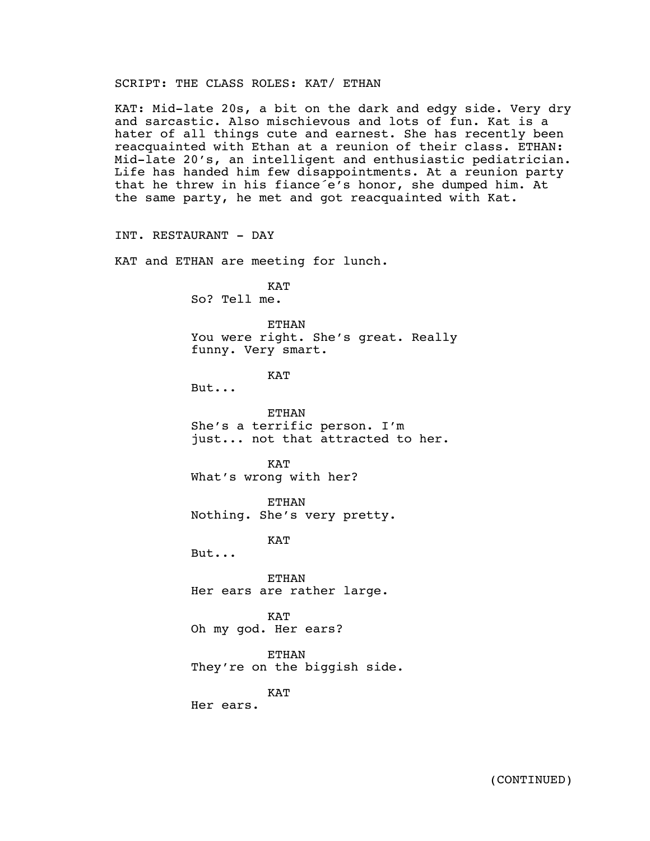# SCRIPT: THE CLASS ROLES: KAT/ ETHAN

KAT: Mid-late 20s, a bit on the dark and edgy side. Very dry and sarcastic. Also mischievous and lots of fun. Kat is a hater of all things cute and earnest. She has recently been reacquainted with Ethan at a reunion of their class. ETHAN: Mid-late 20's, an intelligent and enthusiastic pediatrician. Life has handed him few disappointments. At a reunion party that he threw in his fiance´e's honor, she dumped him. At the same party, he met and got reacquainted with Kat.

INT. RESTAURANT - DAY KAT and ETHAN are meeting for lunch. KAT So? Tell me. ETHAN You were right. She's great. Really funny. Very smart. KAT But... ETHAN She's a terrific person. I'm just... not that attracted to her. **KAT** What's wrong with her? ETHAN Nothing. She's very pretty. KAT But... ETHAN Her ears are rather large. KAT Oh my god. Her ears? ETHAN They're on the biggish side. KAT Her ears.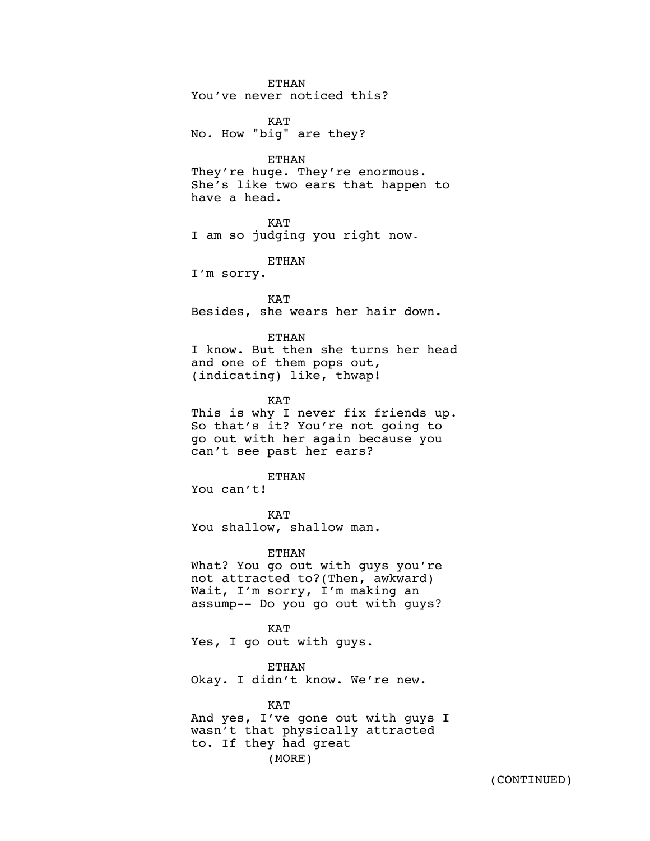# ETHAN

You've never noticed this?

**KAT** No. How "big" are they?

#### ETHAN

They're huge. They're enormous. She's like two ears that happen to have a head.

# KAT

I am so judging you right now.

ETHAN

I'm sorry.

**KAT** Besides, she wears her hair down.

## **ETHAN**

I know. But then she turns her head and one of them pops out, (indicating) like, thwap!

KAT

This is why I never fix friends up. So that's it? You're not going to go out with her again because you can't see past her ears?

ETHAN

You can't!

KAT You shallow, shallow man.

### ETHAN

What? You go out with guys you're not attracted to?(Then, awkward) Wait, I'm sorry, I'm making an assump-- Do you go out with guys?

### KAT

Yes, I go out with guys.

#### ETHAN

Okay. I didn't know. We're new.

## KAT

And yes, I've gone out with guys I wasn't that physically attracted to. If they had great (MORE)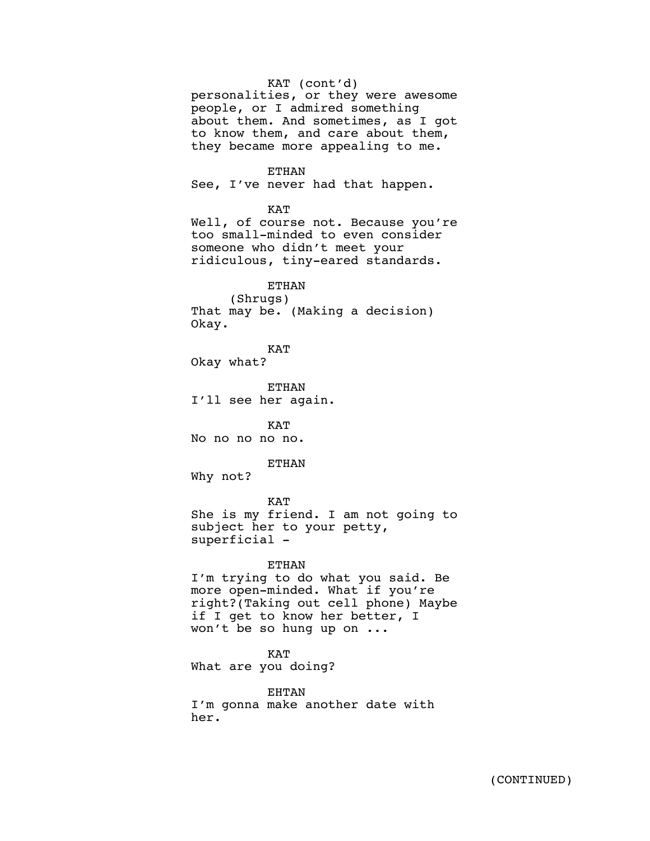KAT (cont'd) personalities, or they were awesome people, or I admired something about them. And sometimes, as I got to know them, and care about them, they became more appealing to me.

ETHAN

See, I've never had that happen.

KAT

Well, of course not. Because you're too small-minded to even consider someone who didn't meet your ridiculous, tiny-eared standards.

ETHAN (Shrugs) That may be. (Making a decision) Okay.

KAT Okay what?

ETHAN I'll see her again.

KAT No no no no no.

ETHAN

Why not?

KAT She is my friend. I am not going to subject her to your petty, superficial -

#### ETHAN

I'm trying to do what you said. Be more open-minded. What if you're right?(Taking out cell phone) Maybe if I get to know her better, I won't be so hung up on ...

KAT

What are you doing?

EHTAN I'm gonna make another date with her.